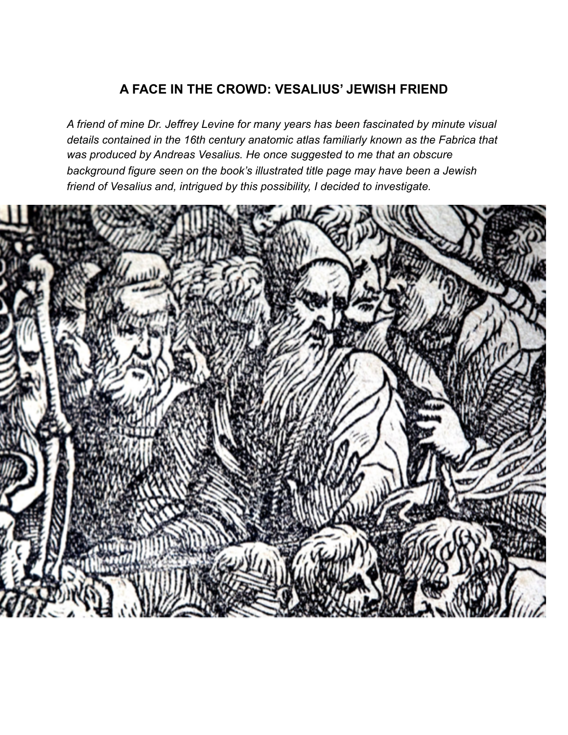# **A FACE IN THE CROWD: VESALIUS' JEWISH FRIEND**

*A friend of mine Dr. Jeffrey Levine for many years has been fascinated by minute visual details contained in the 16th century anatomic atlas familiarly known as the Fabrica that was produced by Andreas Vesalius. He once suggested to me that an obscure background figure seen on the book's illustrated title page may have been a Jewish friend of Vesalius and, intrigued by this possibility, I decided to investigate.*

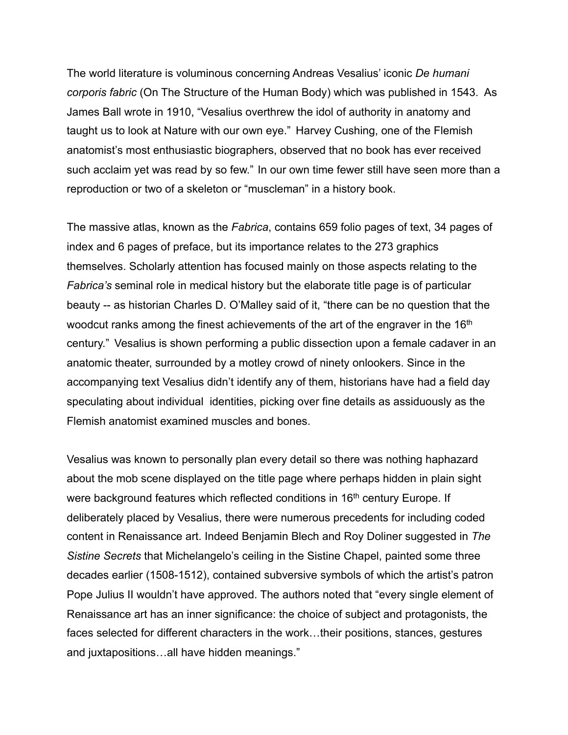The world literature is voluminous concerning Andreas Vesalius' iconic *De humani corporis fabric* (On The Structure of the Human Body) which was published in 1543. As James Ball wrote in 1910, "Vesalius overthrew the idol of authority in anatomy and taught us to look at Nature with our own eye." Harvey Cushing, one of the Flemish anatomist's most enthusiastic biographers, observed that no book has ever received such acclaim yet was read by so few." In our own time fewer still have seen more than a reproduction or two of a skeleton or "muscleman" in a history book.

The massive atlas, known as the *Fabrica*, contains 659 folio pages of text, 34 pages of index and 6 pages of preface, but its importance relates to the 273 graphics themselves. Scholarly attention has focused mainly on those aspects relating to the *Fabrica's* seminal role in medical history but the elaborate title page is of particular beauty -- as historian Charles D. O'Malley said of it, "there can be no question that the woodcut ranks among the finest achievements of the art of the engraver in the 16<sup>th</sup> century." Vesalius is shown performing a public dissection upon a female cadaver in an anatomic theater, surrounded by a motley crowd of ninety onlookers. Since in the accompanying text Vesalius didn't identify any of them, historians have had a field day speculating about individual identities, picking over fine details as assiduously as the Flemish anatomist examined muscles and bones.

Vesalius was known to personally plan every detail so there was nothing haphazard about the mob scene displayed on the title page where perhaps hidden in plain sight were background features which reflected conditions in 16<sup>th</sup> century Europe. If deliberately placed by Vesalius, there were numerous precedents for including coded content in Renaissance art. Indeed Benjamin Blech and Roy Doliner suggested in *The Sistine Secrets* that Michelangelo's ceiling in the Sistine Chapel, painted some three decades earlier (1508-1512), contained subversive symbols of which the artist's patron Pope Julius II wouldn't have approved. The authors noted that "every single element of Renaissance art has an inner significance: the choice of subject and protagonists, the faces selected for different characters in the work…their positions, stances, gestures and juxtapositions…all have hidden meanings."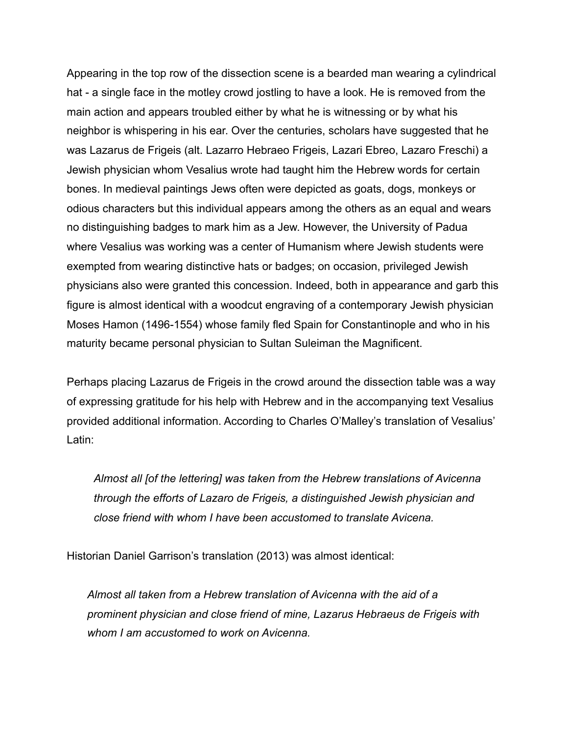Appearing in the top row of the dissection scene is a bearded man wearing a cylindrical hat - a single face in the motley crowd jostling to have a look. He is removed from the main action and appears troubled either by what he is witnessing or by what his neighbor is whispering in his ear. Over the centuries, scholars have suggested that he was Lazarus de Frigeis (alt. Lazarro Hebraeo Frigeis, Lazari Ebreo, Lazaro Freschi) a Jewish physician whom Vesalius wrote had taught him the Hebrew words for certain bones. In medieval paintings Jews often were depicted as goats, dogs, monkeys or odious characters but this individual appears among the others as an equal and wears no distinguishing badges to mark him as a Jew. However, the University of Padua where Vesalius was working was a center of Humanism where Jewish students were exempted from wearing distinctive hats or badges; on occasion, privileged Jewish physicians also were granted this concession. Indeed, both in appearance and garb this figure is almost identical with a woodcut engraving of a contemporary Jewish physician Moses Hamon (1496-1554) whose family fled Spain for Constantinople and who in his maturity became personal physician to Sultan Suleiman the Magnificent.

Perhaps placing Lazarus de Frigeis in the crowd around the dissection table was a way of expressing gratitude for his help with Hebrew and in the accompanying text Vesalius provided additional information. According to Charles O'Malley's translation of Vesalius' Latin:

*Almost all [of the lettering] was taken from the Hebrew translations of Avicenna through the efforts of Lazaro de Frigeis, a distinguished Jewish physician and close friend with whom I have been accustomed to translate Avicena.*

Historian Daniel Garrison's translation (2013) was almost identical:

*Almost all taken from a Hebrew translation of Avicenna with the aid of a prominent physician and close friend of mine, Lazarus Hebraeus de Frigeis with whom I am accustomed to work on Avicenna.*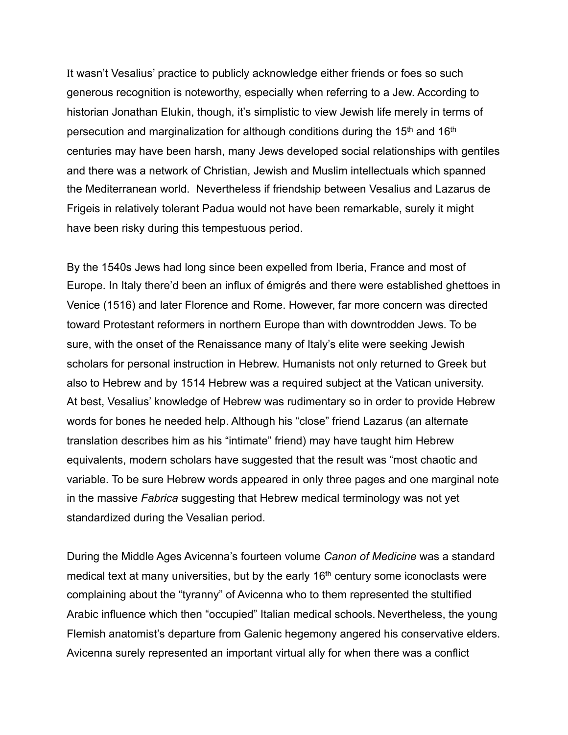It wasn't Vesalius' practice to publicly acknowledge either friends or foes so such generous recognition is noteworthy, especially when referring to a Jew. According to historian Jonathan Elukin, though, it's simplistic to view Jewish life merely in terms of persecution and marginalization for although conditions during the 15<sup>th</sup> and 16<sup>th</sup> centuries may have been harsh, many Jews developed social relationships with gentiles and there was a network of Christian, Jewish and Muslim intellectuals which spanned the Mediterranean world. Nevertheless if friendship between Vesalius and Lazarus de Frigeis in relatively tolerant Padua would not have been remarkable, surely it might have been risky during this tempestuous period.

By the 1540s Jews had long since been expelled from Iberia, France and most of Europe. In Italy there'd been an influx of émigrés and there were established ghettoes in Venice (1516) and later Florence and Rome. However, far more concern was directed toward Protestant reformers in northern Europe than with downtrodden Jews. To be sure, with the onset of the Renaissance many of Italy's elite were seeking Jewish scholars for personal instruction in Hebrew. Humanists not only returned to Greek but also to Hebrew and by 1514 Hebrew was a required subject at the Vatican university. At best, Vesalius' knowledge of Hebrew was rudimentary so in order to provide Hebrew words for bones he needed help. Although his "close" friend Lazarus (an alternate translation describes him as his "intimate" friend) may have taught him Hebrew equivalents, modern scholars have suggested that the result was "most chaotic and variable. To be sure Hebrew words appeared in only three pages and one marginal note in the massive *Fabrica* suggesting that Hebrew medical terminology was not yet standardized during the Vesalian period.

During the Middle Ages Avicenna's fourteen volume *Canon of Medicine* was a standard medical text at many universities, but by the early 16<sup>th</sup> century some iconoclasts were complaining about the "tyranny" of Avicenna who to them represented the stultified Arabic influence which then "occupied" Italian medical schools. Nevertheless, the young Flemish anatomist's departure from Galenic hegemony angered his conservative elders. Avicenna surely represented an important virtual ally for when there was a conflict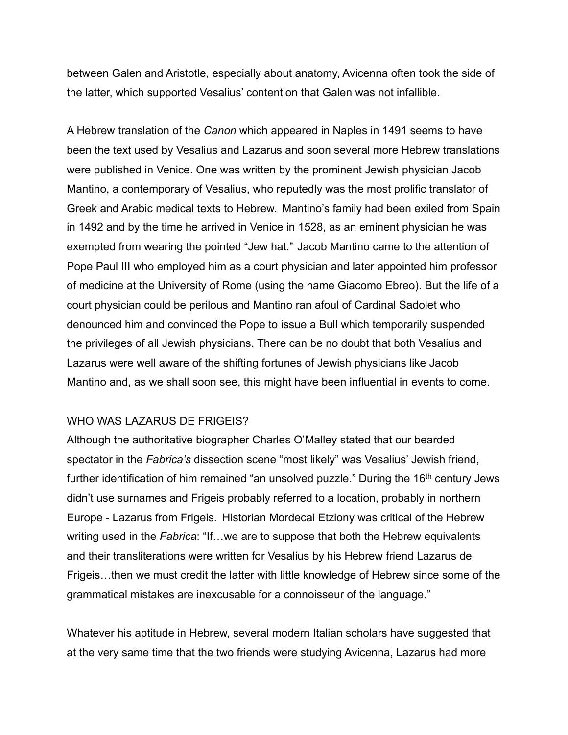between Galen and Aristotle, especially about anatomy, Avicenna often took the side of the latter, which supported Vesalius' contention that Galen was not infallible.

A Hebrew translation of the *Canon* which appeared in Naples in 1491 seems to have been the text used by Vesalius and Lazarus and soon several more Hebrew translations were published in Venice. One was written by the prominent Jewish physician Jacob Mantino, a contemporary of Vesalius, who reputedly was the most prolific translator of Greek and Arabic medical texts to Hebrew. Mantino's family had been exiled from Spain in 1492 and by the time he arrived in Venice in 1528, as an eminent physician he was exempted from wearing the pointed "Jew hat." Jacob Mantino came to the attention of Pope Paul III who employed him as a court physician and later appointed him professor of medicine at the University of Rome (using the name Giacomo Ebreo). But the life of a court physician could be perilous and Mantino ran afoul of Cardinal Sadolet who denounced him and convinced the Pope to issue a Bull which temporarily suspended the privileges of all Jewish physicians. There can be no doubt that both Vesalius and Lazarus were well aware of the shifting fortunes of Jewish physicians like Jacob Mantino and, as we shall soon see, this might have been influential in events to come.

## WHO WAS LAZARUS DE FRIGEIS?

Although the authoritative biographer Charles O'Malley stated that our bearded spectator in the *Fabrica's* dissection scene "most likely" was Vesalius' Jewish friend, further identification of him remained "an unsolved puzzle." During the  $16<sup>th</sup>$  century Jews didn't use surnames and Frigeis probably referred to a location, probably in northern Europe - Lazarus from Frigeis. Historian Mordecai Etziony was critical of the Hebrew writing used in the *Fabrica*: "If…we are to suppose that both the Hebrew equivalents and their transliterations were written for Vesalius by his Hebrew friend Lazarus de Frigeis…then we must credit the latter with little knowledge of Hebrew since some of the grammatical mistakes are inexcusable for a connoisseur of the language."

Whatever his aptitude in Hebrew, several modern Italian scholars have suggested that at the very same time that the two friends were studying Avicenna, Lazarus had more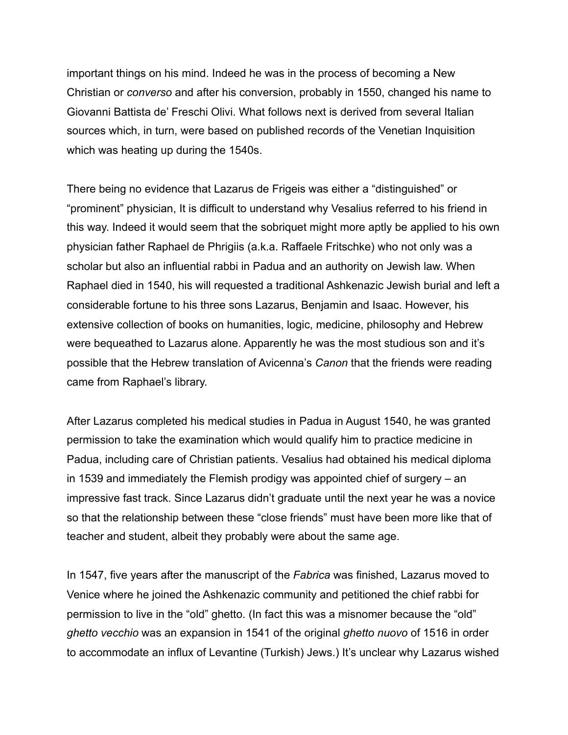important things on his mind. Indeed he was in the process of becoming a New Christian or *converso* and after his conversion, probably in 1550, changed his name to Giovanni Battista de' Freschi Olivi. What follows next is derived from several Italian sources which, in turn, were based on published records of the Venetian Inquisition which was heating up during the 1540s.

There being no evidence that Lazarus de Frigeis was either a "distinguished" or "prominent" physician, It is difficult to understand why Vesalius referred to his friend in this way. Indeed it would seem that the sobriquet might more aptly be applied to his own physician father Raphael de Phrigiis (a.k.a. Raffaele Fritschke) who not only was a scholar but also an influential rabbi in Padua and an authority on Jewish law. When Raphael died in 1540, his will requested a traditional Ashkenazic Jewish burial and left a considerable fortune to his three sons Lazarus, Benjamin and Isaac. However, his extensive collection of books on humanities, logic, medicine, philosophy and Hebrew were bequeathed to Lazarus alone. Apparently he was the most studious son and it's possible that the Hebrew translation of Avicenna's *Canon* that the friends were reading came from Raphael's library.

After Lazarus completed his medical studies in Padua in August 1540, he was granted permission to take the examination which would qualify him to practice medicine in Padua, including care of Christian patients. Vesalius had obtained his medical diploma in 1539 and immediately the Flemish prodigy was appointed chief of surgery – an impressive fast track. Since Lazarus didn't graduate until the next year he was a novice so that the relationship between these "close friends" must have been more like that of teacher and student, albeit they probably were about the same age.

In 1547, five years after the manuscript of the *Fabrica* was finished, Lazarus moved to Venice where he joined the Ashkenazic community and petitioned the chief rabbi for permission to live in the "old" ghetto. (In fact this was a misnomer because the "old" *ghetto vecchio* was an expansion in 1541 of the original *ghetto nuovo* of 1516 in order to accommodate an influx of Levantine (Turkish) Jews.) It's unclear why Lazarus wished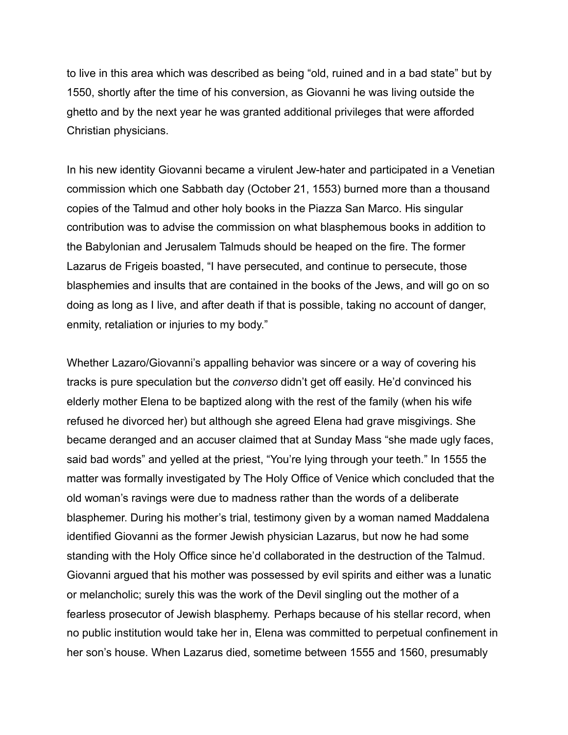to live in this area which was described as being "old, ruined and in a bad state" but by 1550, shortly after the time of his conversion, as Giovanni he was living outside the ghetto and by the next year he was granted additional privileges that were afforded Christian physicians.

In his new identity Giovanni became a virulent Jew-hater and participated in a Venetian commission which one Sabbath day (October 21, 1553) burned more than a thousand copies of the Talmud and other holy books in the Piazza San Marco. His singular contribution was to advise the commission on what blasphemous books in addition to the Babylonian and Jerusalem Talmuds should be heaped on the fire. The former Lazarus de Frigeis boasted, "I have persecuted, and continue to persecute, those blasphemies and insults that are contained in the books of the Jews, and will go on so doing as long as I live, and after death if that is possible, taking no account of danger, enmity, retaliation or injuries to my body."

Whether Lazaro/Giovanni's appalling behavior was sincere or a way of covering his tracks is pure speculation but the *converso* didn't get off easily. He'd convinced his elderly mother Elena to be baptized along with the rest of the family (when his wife refused he divorced her) but although she agreed Elena had grave misgivings. She became deranged and an accuser claimed that at Sunday Mass "she made ugly faces, said bad words" and yelled at the priest, "You're lying through your teeth." In 1555 the matter was formally investigated by The Holy Office of Venice which concluded that the old woman's ravings were due to madness rather than the words of a deliberate blasphemer. During his mother's trial, testimony given by a woman named Maddalena identified Giovanni as the former Jewish physician Lazarus, but now he had some standing with the Holy Office since he'd collaborated in the destruction of the Talmud. Giovanni argued that his mother was possessed by evil spirits and either was a lunatic or melancholic; surely this was the work of the Devil singling out the mother of a fearless prosecutor of Jewish blasphemy. Perhaps because of his stellar record, when no public institution would take her in, Elena was committed to perpetual confinement in her son's house. When Lazarus died, sometime between 1555 and 1560, presumably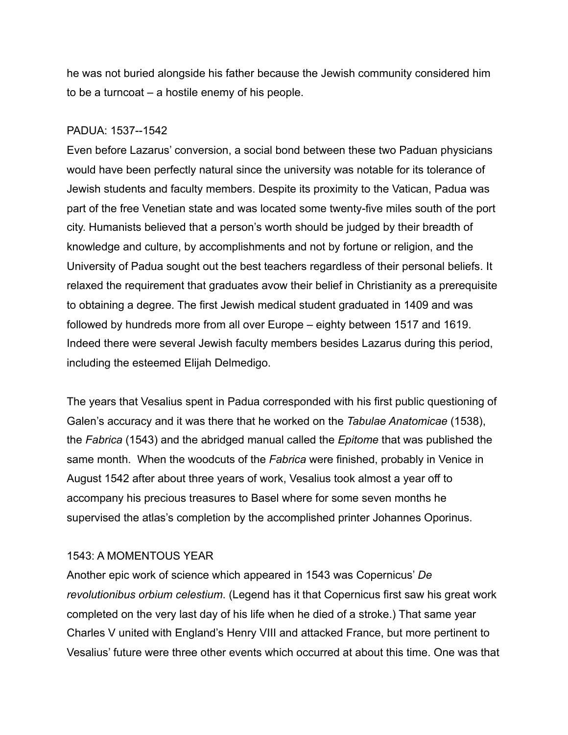he was not buried alongside his father because the Jewish community considered him to be a turncoat – a hostile enemy of his people.

## PADUA: 1537--1542

Even before Lazarus' conversion, a social bond between these two Paduan physicians would have been perfectly natural since the university was notable for its tolerance of Jewish students and faculty members. Despite its proximity to the Vatican, Padua was part of the free Venetian state and was located some twenty-five miles south of the port city. Humanists believed that a person's worth should be judged by their breadth of knowledge and culture, by accomplishments and not by fortune or religion, and the University of Padua sought out the best teachers regardless of their personal beliefs. It relaxed the requirement that graduates avow their belief in Christianity as a prerequisite to obtaining a degree. The first Jewish medical student graduated in 1409 and was followed by hundreds more from all over Europe – eighty between 1517 and 1619. Indeed there were several Jewish faculty members besides Lazarus during this period, including the esteemed Elijah Delmedigo.

The years that Vesalius spent in Padua corresponded with his first public questioning of Galen's accuracy and it was there that he worked on the *Tabulae Anatomicae* (1538), the *Fabrica* (1543) and the abridged manual called the *Epitome* that was published the same month. When the woodcuts of the *Fabrica* were finished, probably in Venice in August 1542 after about three years of work, Vesalius took almost a year off to accompany his precious treasures to Basel where for some seven months he supervised the atlas's completion by the accomplished printer Johannes Oporinus.

# 1543: A MOMENTOUS YEAR

Another epic work of science which appeared in 1543 was Copernicus' *De revolutionibus orbium celestium*. (Legend has it that Copernicus first saw his great work completed on the very last day of his life when he died of a stroke.) That same year Charles V united with England's Henry VIII and attacked France, but more pertinent to Vesalius' future were three other events which occurred at about this time. One was that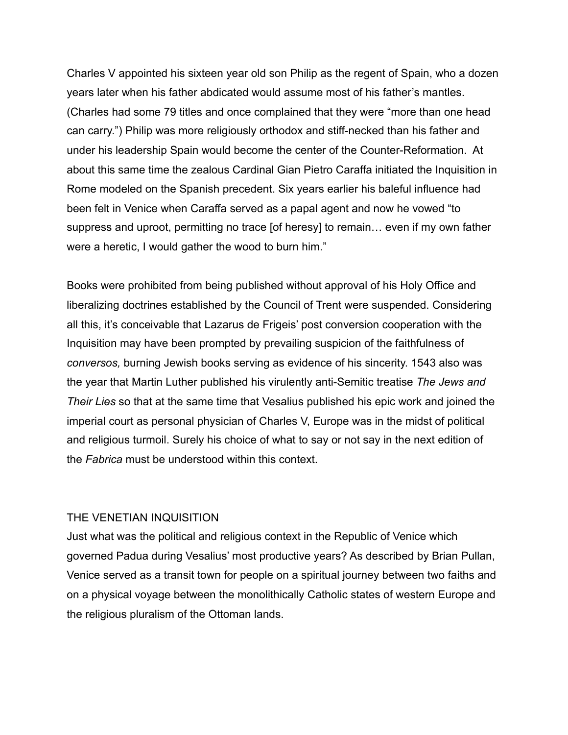Charles V appointed his sixteen year old son Philip as the regent of Spain, who a dozen years later when his father abdicated would assume most of his father's mantles. (Charles had some 79 titles and once complained that they were "more than one head can carry.") Philip was more religiously orthodox and stiff-necked than his father and under his leadership Spain would become the center of the Counter-Reformation. At about this same time the zealous Cardinal Gian Pietro Caraffa initiated the Inquisition in Rome modeled on the Spanish precedent. Six years earlier his baleful influence had been felt in Venice when Caraffa served as a papal agent and now he vowed "to suppress and uproot, permitting no trace [of heresy] to remain… even if my own father were a heretic, I would gather the wood to burn him."

Books were prohibited from being published without approval of his Holy Office and liberalizing doctrines established by the Council of Trent were suspended. Considering all this, it's conceivable that Lazarus de Frigeis' post conversion cooperation with the Inquisition may have been prompted by prevailing suspicion of the faithfulness of *conversos,* burning Jewish books serving as evidence of his sincerity. 1543 also was the year that Martin Luther published his virulently anti-Semitic treatise *The Jews and Their Lies* so that at the same time that Vesalius published his epic work and joined the imperial court as personal physician of Charles V, Europe was in the midst of political and religious turmoil. Surely his choice of what to say or not say in the next edition of the *Fabrica* must be understood within this context.

#### THE VENETIAN INQUISITION

Just what was the political and religious context in the Republic of Venice which governed Padua during Vesalius' most productive years? As described by Brian Pullan, Venice served as a transit town for people on a spiritual journey between two faiths and on a physical voyage between the monolithically Catholic states of western Europe and the religious pluralism of the Ottoman lands.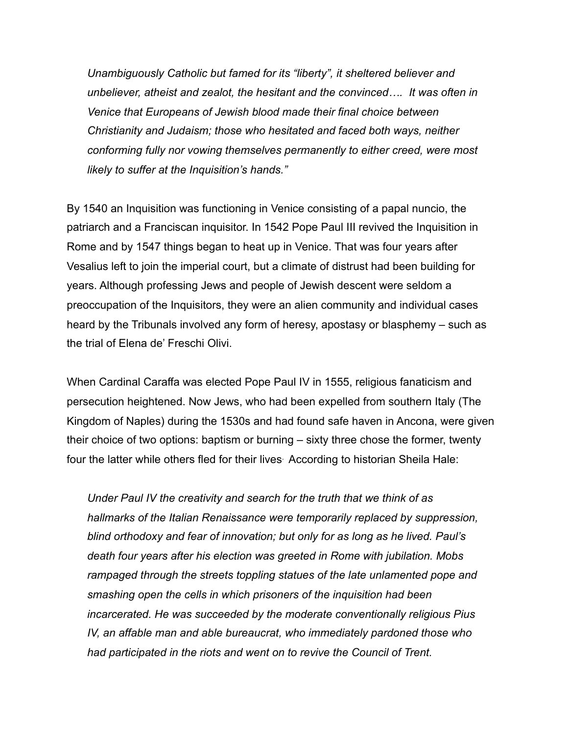*Unambiguously Catholic but famed for its "liberty", it sheltered believer and unbeliever, atheist and zealot, the hesitant and the convinced…. It was often in Venice that Europeans of Jewish blood made their final choice between Christianity and Judaism; those who hesitated and faced both ways, neither conforming fully nor vowing themselves permanently to either creed, were most likely to suffer at the Inquisition's hands."* 

By 1540 an Inquisition was functioning in Venice consisting of a papal nuncio, the patriarch and a Franciscan inquisitor. In 1542 Pope Paul III revived the Inquisition in Rome and by 1547 things began to heat up in Venice. That was four years after Vesalius left to join the imperial court, but a climate of distrust had been building for years. Although professing Jews and people of Jewish descent were seldom a preoccupation of the Inquisitors, they were an alien community and individual cases heard by the Tribunals involved any form of heresy, apostasy or blasphemy – such as the trial of Elena de' Freschi Olivi.

When Cardinal Caraffa was elected Pope Paul IV in 1555, religious fanaticism and persecution heightened. Now Jews, who had been expelled from southern Italy (The Kingdom of Naples) during the 1530s and had found safe haven in Ancona, were given their choice of two options: baptism or burning – sixty three chose the former, twenty four the latter while others fled for their lives. According to historian Sheila Hale:

*Under Paul IV the creativity and search for the truth that we think of as hallmarks of the Italian Renaissance were temporarily replaced by suppression, blind orthodoxy and fear of innovation; but only for as long as he lived. Paul's death four years after his election was greeted in Rome with jubilation. Mobs rampaged through the streets toppling statues of the late unlamented pope and smashing open the cells in which prisoners of the inquisition had been incarcerated. He was succeeded by the moderate conventionally religious Pius IV, an affable man and able bureaucrat, who immediately pardoned those who had participated in the riots and went on to revive the Council of Trent.*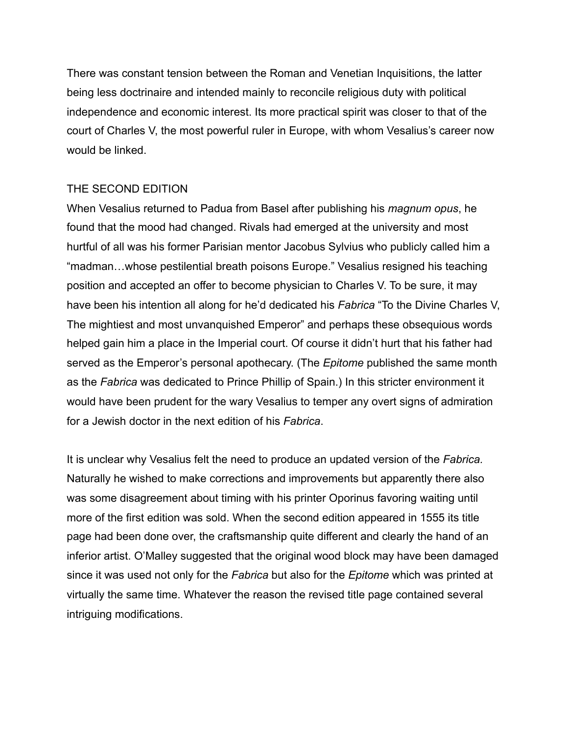There was constant tension between the Roman and Venetian Inquisitions, the latter being less doctrinaire and intended mainly to reconcile religious duty with political independence and economic interest. Its more practical spirit was closer to that of the court of Charles V, the most powerful ruler in Europe, with whom Vesalius's career now would be linked.

## THE SECOND EDITION

When Vesalius returned to Padua from Basel after publishing his *magnum opus*, he found that the mood had changed. Rivals had emerged at the university and most hurtful of all was his former Parisian mentor Jacobus Sylvius who publicly called him a "madman…whose pestilential breath poisons Europe." Vesalius resigned his teaching position and accepted an offer to become physician to Charles V. To be sure, it may have been his intention all along for he'd dedicated his *Fabrica* "To the Divine Charles V, The mightiest and most unvanquished Emperor" and perhaps these obsequious words helped gain him a place in the Imperial court. Of course it didn't hurt that his father had served as the Emperor's personal apothecary. (The *Epitome* published the same month as the *Fabrica* was dedicated to Prince Phillip of Spain.) In this stricter environment it would have been prudent for the wary Vesalius to temper any overt signs of admiration for a Jewish doctor in the next edition of his *Fabrica*.

It is unclear why Vesalius felt the need to produce an updated version of the *Fabrica.*  Naturally he wished to make corrections and improvements but apparently there also was some disagreement about timing with his printer Oporinus favoring waiting until more of the first edition was sold. When the second edition appeared in 1555 its title page had been done over, the craftsmanship quite different and clearly the hand of an inferior artist. O'Malley suggested that the original wood block may have been damaged since it was used not only for the *Fabrica* but also for the *Epitome* which was printed at virtually the same time. Whatever the reason the revised title page contained several intriguing modifications.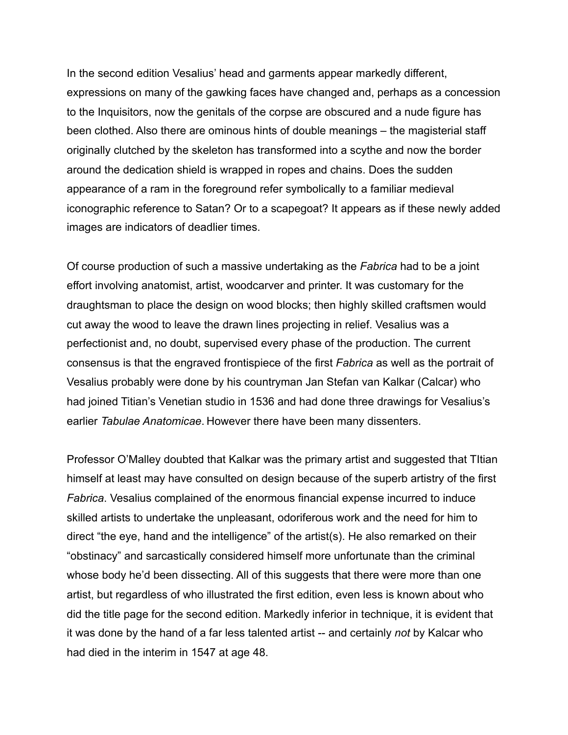In the second edition Vesalius' head and garments appear markedly different, expressions on many of the gawking faces have changed and, perhaps as a concession to the Inquisitors, now the genitals of the corpse are obscured and a nude figure has been clothed. Also there are ominous hints of double meanings – the magisterial staff originally clutched by the skeleton has transformed into a scythe and now the border around the dedication shield is wrapped in ropes and chains. Does the sudden appearance of a ram in the foreground refer symbolically to a familiar medieval iconographic reference to Satan? Or to a scapegoat? It appears as if these newly added images are indicators of deadlier times.

Of course production of such a massive undertaking as the *Fabrica* had to be a joint effort involving anatomist, artist, woodcarver and printer. It was customary for the draughtsman to place the design on wood blocks; then highly skilled craftsmen would cut away the wood to leave the drawn lines projecting in relief. Vesalius was a perfectionist and, no doubt, supervised every phase of the production. The current consensus is that the engraved frontispiece of the first *Fabrica* as well as the portrait of Vesalius probably were done by his countryman Jan Stefan van Kalkar (Calcar) who had joined Titian's Venetian studio in 1536 and had done three drawings for Vesalius's earlier *Tabulae Anatomicae*. However there have been many dissenters.

Professor O'Malley doubted that Kalkar was the primary artist and suggested that TItian himself at least may have consulted on design because of the superb artistry of the first *Fabrica*. Vesalius complained of the enormous financial expense incurred to induce skilled artists to undertake the unpleasant, odoriferous work and the need for him to direct "the eye, hand and the intelligence" of the artist(s). He also remarked on their "obstinacy" and sarcastically considered himself more unfortunate than the criminal whose body he'd been dissecting. All of this suggests that there were more than one artist, but regardless of who illustrated the first edition, even less is known about who did the title page for the second edition. Markedly inferior in technique, it is evident that it was done by the hand of a far less talented artist -- and certainly *not* by Kalcar who had died in the interim in 1547 at age 48.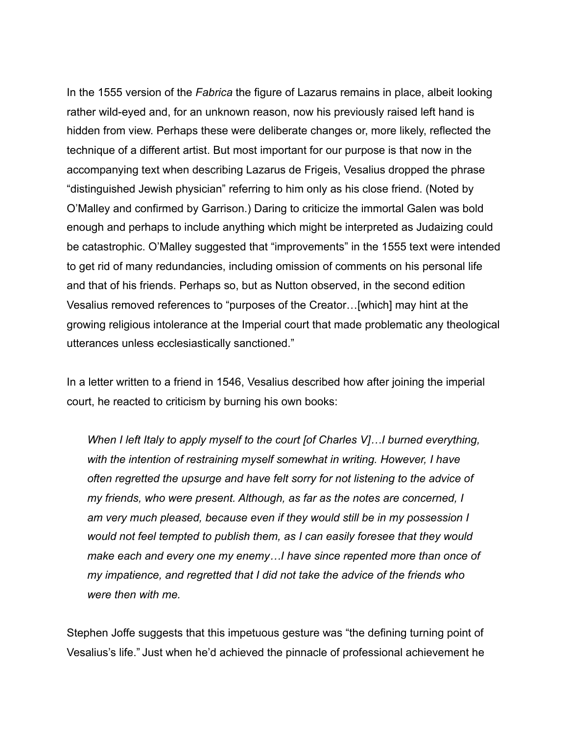In the 1555 version of the *Fabrica* the figure of Lazarus remains in place, albeit looking rather wild-eyed and, for an unknown reason, now his previously raised left hand is hidden from view. Perhaps these were deliberate changes or, more likely, reflected the technique of a different artist. But most important for our purpose is that now in the accompanying text when describing Lazarus de Frigeis, Vesalius dropped the phrase "distinguished Jewish physician" referring to him only as his close friend. (Noted by O'Malley and confirmed by Garrison.) Daring to criticize the immortal Galen was bold enough and perhaps to include anything which might be interpreted as Judaizing could be catastrophic. O'Malley suggested that "improvements" in the 1555 text were intended to get rid of many redundancies, including omission of comments on his personal life and that of his friends. Perhaps so, but as Nutton observed, in the second edition Vesalius removed references to "purposes of the Creator…[which] may hint at the growing religious intolerance at the Imperial court that made problematic any theological utterances unless ecclesiastically sanctioned."

In a letter written to a friend in 1546, Vesalius described how after joining the imperial court, he reacted to criticism by burning his own books:

*When I left Italy to apply myself to the court [of Charles V]…I burned everything, with the intention of restraining myself somewhat in writing. However, I have often regretted the upsurge and have felt sorry for not listening to the advice of my friends, who were present. Although, as far as the notes are concerned, I*  am very much pleased, because even if they would still be in my possession I *would not feel tempted to publish them, as I can easily foresee that they would make each and every one my enemy…I have since repented more than once of my impatience, and regretted that I did not take the advice of the friends who were then with me.* 

Stephen Joffe suggests that this impetuous gesture was "the defining turning point of Vesalius's life." Just when he'd achieved the pinnacle of professional achievement he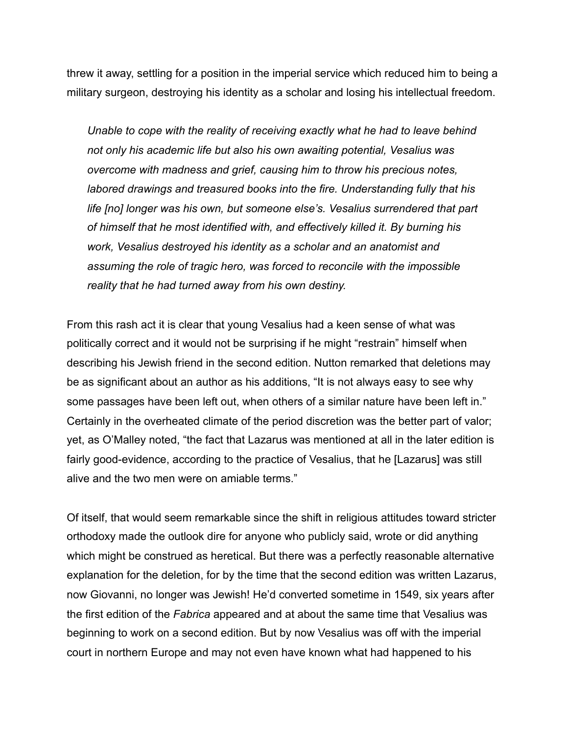threw it away, settling for a position in the imperial service which reduced him to being a military surgeon, destroying his identity as a scholar and losing his intellectual freedom.

*Unable to cope with the reality of receiving exactly what he had to leave behind not only his academic life but also his own awaiting potential, Vesalius was overcome with madness and grief, causing him to throw his precious notes, labored drawings and treasured books into the fire. Understanding fully that his life [no] longer was his own, but someone else's. Vesalius surrendered that part of himself that he most identified with, and effectively killed it. By burning his work, Vesalius destroyed his identity as a scholar and an anatomist and assuming the role of tragic hero, was forced to reconcile with the impossible reality that he had turned away from his own destiny.* 

From this rash act it is clear that young Vesalius had a keen sense of what was politically correct and it would not be surprising if he might "restrain" himself when describing his Jewish friend in the second edition. Nutton remarked that deletions may be as significant about an author as his additions, "It is not always easy to see why some passages have been left out, when others of a similar nature have been left in." Certainly in the overheated climate of the period discretion was the better part of valor; yet, as O'Malley noted, "the fact that Lazarus was mentioned at all in the later edition is fairly good-evidence, according to the practice of Vesalius, that he [Lazarus] was still alive and the two men were on amiable terms."

Of itself, that would seem remarkable since the shift in religious attitudes toward stricter orthodoxy made the outlook dire for anyone who publicly said, wrote or did anything which might be construed as heretical. But there was a perfectly reasonable alternative explanation for the deletion, for by the time that the second edition was written Lazarus, now Giovanni, no longer was Jewish! He'd converted sometime in 1549, six years after the first edition of the *Fabrica* appeared and at about the same time that Vesalius was beginning to work on a second edition. But by now Vesalius was off with the imperial court in northern Europe and may not even have known what had happened to his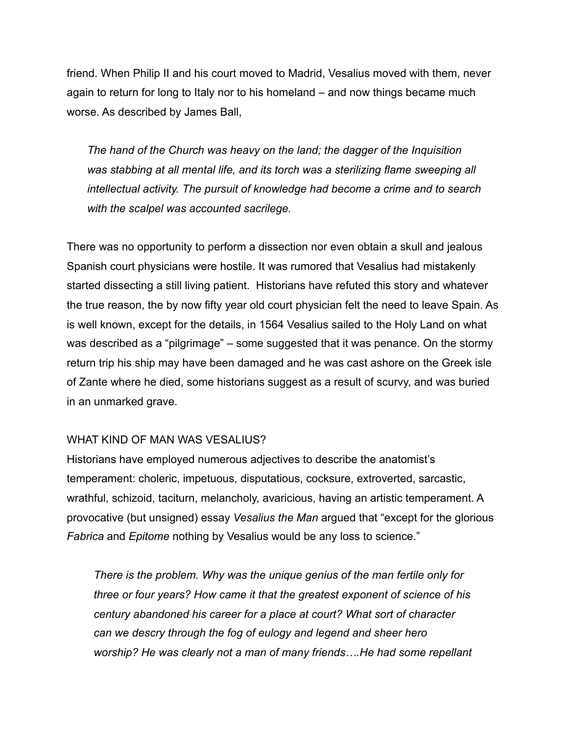friend. When Philip II and his court moved to Madrid, Vesalius moved with them, never again to return for long to Italy nor to his homeland – and now things became much worse. As described by James Ball,

*The hand of the Church was heavy on the land; the dagger of the Inquisition was stabbing at all mental life, and its torch was a sterilizing flame sweeping all intellectual activity. The pursuit of knowledge had become a crime and to search with the scalpel was accounted sacrilege.* 

There was no opportunity to perform a dissection nor even obtain a skull and jealous Spanish court physicians were hostile. It was rumored that Vesalius had mistakenly started dissecting a still living patient. Historians have refuted this story and whatever the true reason, the by now fifty year old court physician felt the need to leave Spain. As is well known, except for the details, in 1564 Vesalius sailed to the Holy Land on what was described as a "pilgrimage" – some suggested that it was penance. On the stormy return trip his ship may have been damaged and he was cast ashore on the Greek isle of Zante where he died, some historians suggest as a result of scurvy, and was buried in an unmarked grave.

## WHAT KIND OF MAN WAS VESALIUS?

Historians have employed numerous adjectives to describe the anatomist's temperament: choleric, impetuous, disputatious, cocksure, extroverted, sarcastic, wrathful, schizoid, taciturn, melancholy, avaricious, having an artistic temperament. A provocative (but unsigned) essay *Vesalius the Man* argued that "except for the glorious *Fabrica* and *Epitome* nothing by Vesalius would be any loss to science."

*There is the problem. Why was the unique genius of the man fertile only for three or four years? How came it that the greatest exponent of science of his century abandoned his career for a place at court? What sort of character can we descry through the fog of eulogy and legend and sheer hero worship? He was clearly not a man of many friends….He had some repellant*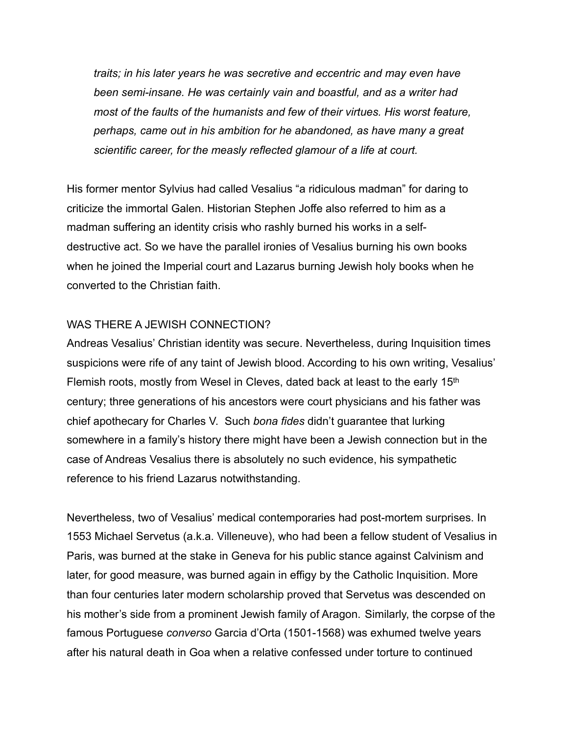*traits; in his later years he was secretive and eccentric and may even have been semi-insane. He was certainly vain and boastful, and as a writer had most of the faults of the humanists and few of their virtues. His worst feature, perhaps, came out in his ambition for he abandoned, as have many a great scientific career, for the measly reflected glamour of a life at court.*

His former mentor Sylvius had called Vesalius "a ridiculous madman" for daring to criticize the immortal Galen. Historian Stephen Joffe also referred to him as a madman suffering an identity crisis who rashly burned his works in a selfdestructive act. So we have the parallel ironies of Vesalius burning his own books when he joined the Imperial court and Lazarus burning Jewish holy books when he converted to the Christian faith.

#### WAS THERE A JEWISH CONNECTION?

Andreas Vesalius' Christian identity was secure. Nevertheless, during Inquisition times suspicions were rife of any taint of Jewish blood. According to his own writing, Vesalius' Flemish roots, mostly from Wesel in Cleves, dated back at least to the early 15th century; three generations of his ancestors were court physicians and his father was chief apothecary for Charles V. Such *bona fides* didn't guarantee that lurking somewhere in a family's history there might have been a Jewish connection but in the case of Andreas Vesalius there is absolutely no such evidence, his sympathetic reference to his friend Lazarus notwithstanding.

Nevertheless, two of Vesalius' medical contemporaries had post-mortem surprises. In 1553 Michael Servetus (a.k.a. Villeneuve), who had been a fellow student of Vesalius in Paris, was burned at the stake in Geneva for his public stance against Calvinism and later, for good measure, was burned again in effigy by the Catholic Inquisition. More than four centuries later modern scholarship proved that Servetus was descended on his mother's side from a prominent Jewish family of Aragon. Similarly, the corpse of the famous Portuguese *converso* Garcia d'Orta (1501-1568) was exhumed twelve years after his natural death in Goa when a relative confessed under torture to continued